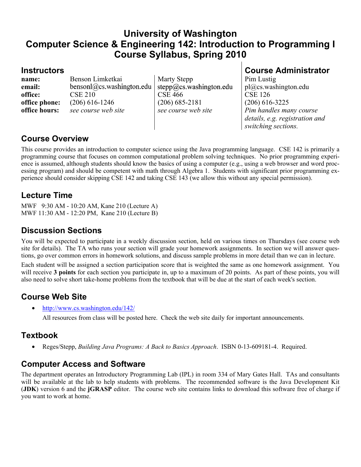## **University of Washington Computer Science & Engineering 142: Introduction to Programming I Course Syllabus, Spring 2010**

**email:** bensonl@cs.washington.edu | stepp@cs.washington.edu | pl@cs.washington.edu **office:** CSE 210 CSE 466 CSE 126 **office phone:** (206) 616-1246 (206) 685-2181 (206) 616-3225 **office hours:** *see course web site* see *course web site Pim handles many course* 

**name:** Benson Limketkai Marty Stepp Pim Lustig

**Instructors Course Administrator** 

*details, e.g. registration and switching sections.* 

#### **Course Overview**

This course provides an introduction to computer science using the Java programming language. CSE 142 is primarily a programming course that focuses on common computational problem solving techniques. No prior programming experience is assumed, although students should know the basics of using a computer (e.g., using a web browser and word processing program) and should be competent with math through Algebra 1. Students with significant prior programming experience should consider skipping CSE 142 and taking CSE 143 (we allow this without any special permission).

### **Lecture Time**

MWF 9:30 AM - 10:20 AM, Kane 210 (Lecture A) MWF 11:30 AM - 12:20 PM, Kane 210 (Lecture B)

# **Discussion Sections**

You will be expected to participate in a weekly discussion section, held on various times on Thursdays (see course web site for details). The TA who runs your section will grade your homework assignments. In section we will answer questions, go over common errors in homework solutions, and discuss sample problems in more detail than we can in lecture.

Each student will be assigned a section participation score that is weighted the same as one homework assignment. You will receive **3 points** for each section you participate in, up to a maximum of 20 points. As part of these points, you will also need to solve short take-home problems from the textbook that will be due at the start of each week's section.

## **Course Web Site**

• http://www.cs.washington.edu/142/

All resources from class will be posted here. Check the web site daily for important announcements.

#### **Textbook**

• Reges/Stepp, *Building Java Programs: A Back to Basics Approach*. ISBN 0-13-609181-4. Required.

## **Computer Access and Software**

The department operates an Introductory Programming Lab (IPL) in room 334 of Mary Gates Hall. TAs and consultants will be available at the lab to help students with problems. The recommended software is the Java Development Kit (**JDK**) version 6 and the **jGRASP** editor. The course web site contains links to download this software free of charge if you want to work at home.